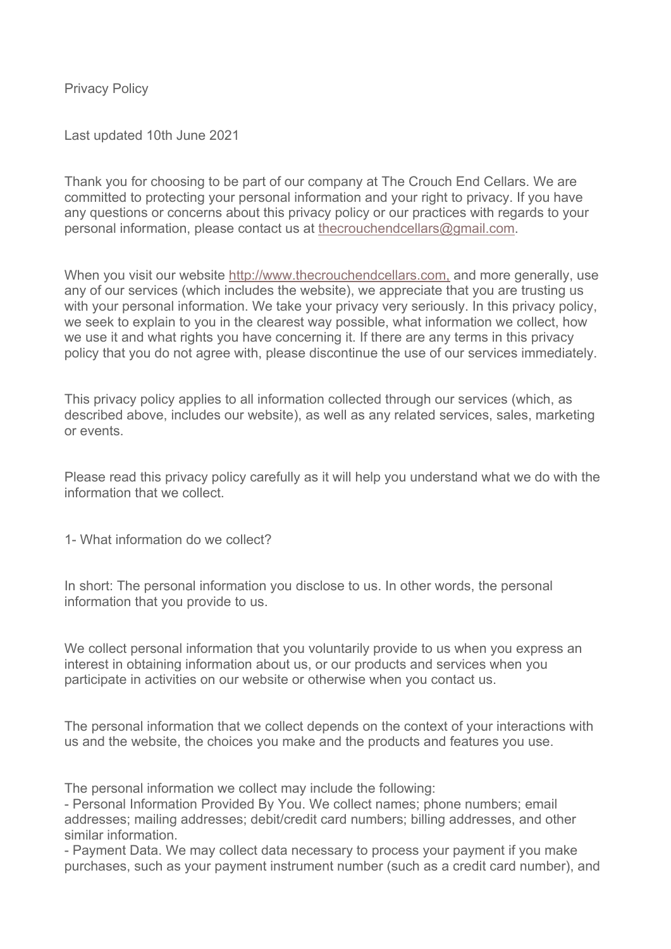Privacy Policy

Last updated 10th June 2021

Thank you for choosing to be part of our company at The Crouch End Cellars. We are committed to protecting your personal information and your right to privacy. If you have any questions or concerns about this privacy policy or our practices with regards to your personal information, please contact us at thecrouchendcellars@gmail.com.

When you visit our website http://www.thecrouchendcellars.com, and more generally, use any of our services (which includes the website), we appreciate that you are trusting us with your personal information. We take your privacy very seriously. In this privacy policy, we seek to explain to you in the clearest way possible, what information we collect, how we use it and what rights you have concerning it. If there are any terms in this privacy policy that you do not agree with, please discontinue the use of our services immediately.

This privacy policy applies to all information collected through our services (which, as described above, includes our website), as well as any related services, sales, marketing or events.

Please read this privacy policy carefully as it will help you understand what we do with the information that we collect.

1- What information do we collect?

In short: The personal information you disclose to us. In other words, the personal information that you provide to us.

We collect personal information that you voluntarily provide to us when you express an interest in obtaining information about us, or our products and services when you participate in activities on our website or otherwise when you contact us.

The personal information that we collect depends on the context of your interactions with us and the website, the choices you make and the products and features you use.

The personal information we collect may include the following:

- Personal Information Provided By You. We collect names; phone numbers; email addresses; mailing addresses; debit/credit card numbers; billing addresses, and other similar information.

- Payment Data. We may collect data necessary to process your payment if you make purchases, such as your payment instrument number (such as a credit card number), and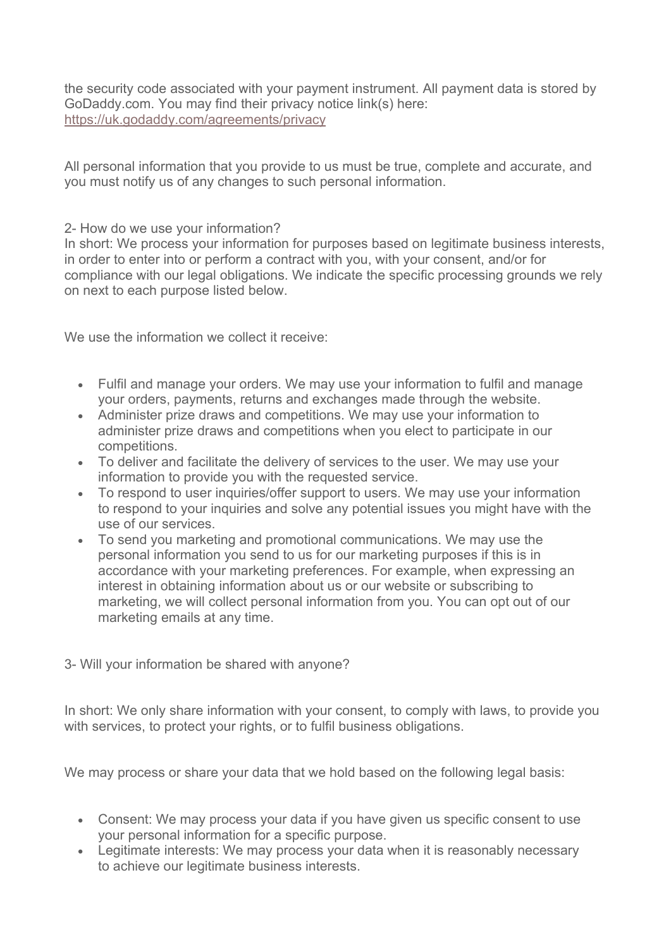the security code associated with your payment instrument. All payment data is stored by GoDaddy.com. You may find their privacy notice link(s) here: https://uk.godaddy.com/agreements/privacy

All personal information that you provide to us must be true, complete and accurate, and you must notify us of any changes to such personal information.

## 2- How do we use your information?

In short: We process your information for purposes based on legitimate business interests, in order to enter into or perform a contract with you, with your consent, and/or for compliance with our legal obligations. We indicate the specific processing grounds we rely on next to each purpose listed below.

We use the information we collect it receive:

- Fulfil and manage your orders. We may use your information to fulfil and manage your orders, payments, returns and exchanges made through the website.
- Administer prize draws and competitions. We may use your information to administer prize draws and competitions when you elect to participate in our competitions.
- To deliver and facilitate the delivery of services to the user. We may use your information to provide you with the requested service.
- To respond to user inquiries/offer support to users. We may use your information to respond to your inquiries and solve any potential issues you might have with the use of our services.
- To send you marketing and promotional communications. We may use the personal information you send to us for our marketing purposes if this is in accordance with your marketing preferences. For example, when expressing an interest in obtaining information about us or our website or subscribing to marketing, we will collect personal information from you. You can opt out of our marketing emails at any time.

## 3- Will your information be shared with anyone?

In short: We only share information with your consent, to comply with laws, to provide you with services, to protect your rights, or to fulfil business obligations.

We may process or share your data that we hold based on the following legal basis:

- Consent: We may process your data if you have given us specific consent to use your personal information for a specific purpose.
- Legitimate interests: We may process your data when it is reasonably necessary to achieve our legitimate business interests.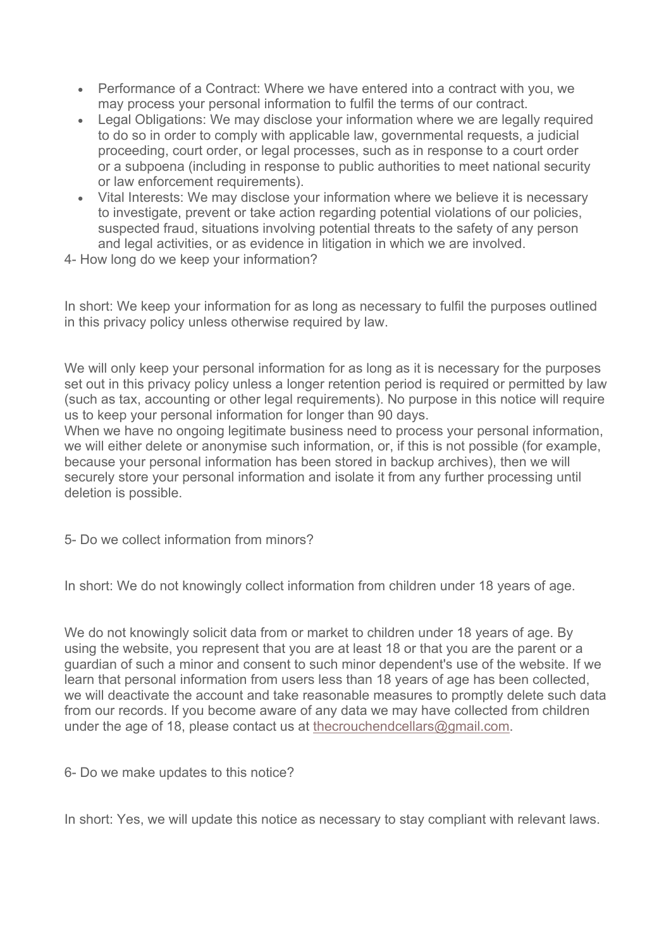- Performance of a Contract: Where we have entered into a contract with you, we may process your personal information to fulfil the terms of our contract.
- Legal Obligations: We may disclose your information where we are legally required to do so in order to comply with applicable law, governmental requests, a judicial proceeding, court order, or legal processes, such as in response to a court order or a subpoena (including in response to public authorities to meet national security or law enforcement requirements).
- Vital Interests: We may disclose your information where we believe it is necessary to investigate, prevent or take action regarding potential violations of our policies, suspected fraud, situations involving potential threats to the safety of any person and legal activities, or as evidence in litigation in which we are involved.
- 4- How long do we keep your information?

In short: We keep your information for as long as necessary to fulfil the purposes outlined in this privacy policy unless otherwise required by law.

We will only keep your personal information for as long as it is necessary for the purposes set out in this privacy policy unless a longer retention period is required or permitted by law (such as tax, accounting or other legal requirements). No purpose in this notice will require us to keep your personal information for longer than 90 days.

When we have no ongoing legitimate business need to process your personal information, we will either delete or anonymise such information, or, if this is not possible (for example, because your personal information has been stored in backup archives), then we will securely store your personal information and isolate it from any further processing until deletion is possible.

5- Do we collect information from minors?

In short: We do not knowingly collect information from children under 18 years of age.

We do not knowingly solicit data from or market to children under 18 years of age. By using the website, you represent that you are at least 18 or that you are the parent or a guardian of such a minor and consent to such minor dependent's use of the website. If we learn that personal information from users less than 18 years of age has been collected, we will deactivate the account and take reasonable measures to promptly delete such data from our records. If you become aware of any data we may have collected from children under the age of 18, please contact us at thecrouchendcellars@gmail.com.

6- Do we make updates to this notice?

In short: Yes, we will update this notice as necessary to stay compliant with relevant laws.